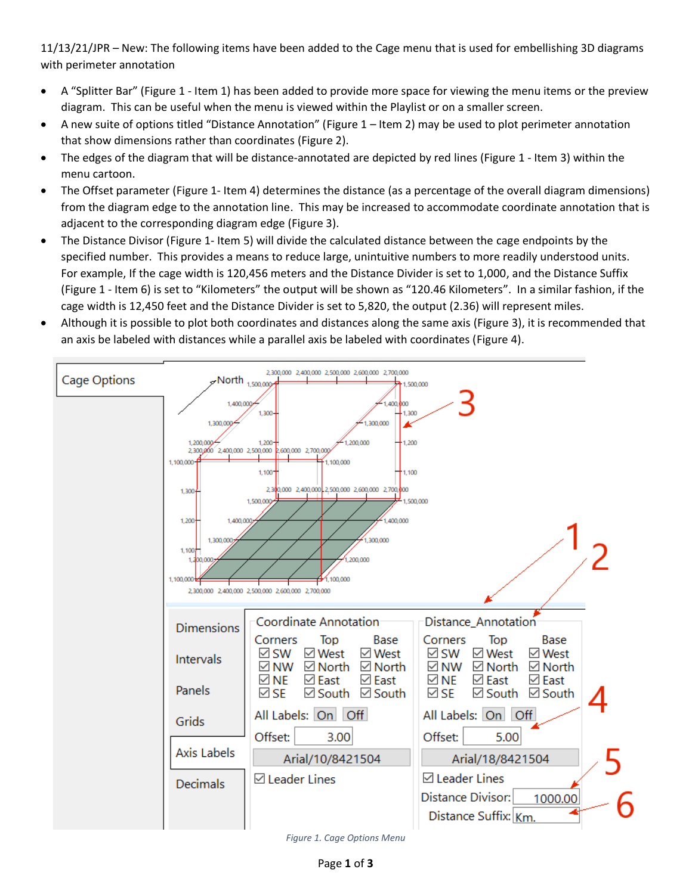11/13/21/JPR – New: The following items have been added to the Cage menu that is used for embellishing 3D diagrams with perimeter annotation

- A "Splitter Bar" [\(Figure 1](#page-0-0) Item 1) has been added to provide more space for viewing the menu items or the preview diagram. This can be useful when the menu is viewed within the Playlist or on a smaller screen.
- A new suite of options titled "Distance Annotation" ([Figure 1](#page-0-0) Item 2) may be used to plot perimeter annotation that show dimensions rather than coordinates [\(Figure 2\)](#page-1-0).
- The edges of the diagram that will be distance-annotated are depicted by red lines [\(Figure 1](#page-0-0) Item 3) within the menu cartoon.
- The Offset parameter [\(Figure 1-](#page-0-0) Item 4) determines the distance (as a percentage of the overall diagram dimensions) from the diagram edge to the annotation line. This may be increased to accommodate coordinate annotation that is adjacent to the corresponding diagram edge [\(Figure 3\)](#page-1-1).
- The Distance Divisor [\(Figure 1-](#page-0-0) Item 5) will divide the calculated distance between the cage endpoints by the specified number. This provides a means to reduce large, unintuitive numbers to more readily understood units. For example, If the cage width is 120,456 meters and the Distance Divider is set to 1,000, and the Distance Suffix [\(Figure 1](#page-0-0) - Item 6) is set to "Kilometers" the output will be shown as "120.46 Kilometers". In a similar fashion, if the cage width is 12,450 feet and the Distance Divider is set to 5,820, the output (2.36) will represent miles.
- Although it is possible to plot both coordinates and distances along the same axis [\(Figure 3\)](#page-1-1), it is recommended that an axis be labeled with distances while a parallel axis be labeled with coordinates [\(Figure 4\)](#page-2-0).



<span id="page-0-0"></span>*Figure 1. Cage Options Menu*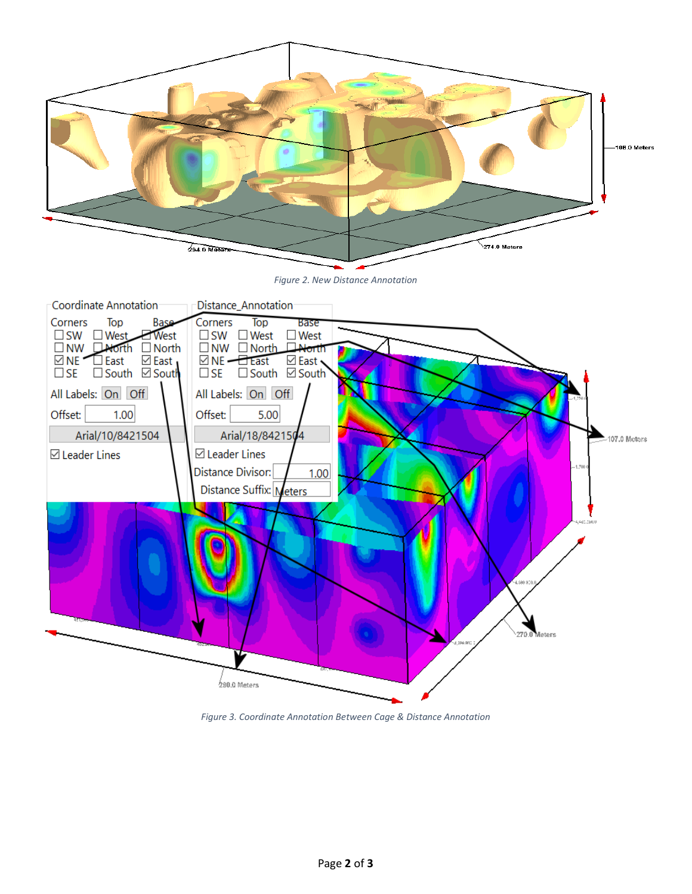<span id="page-1-1"></span><span id="page-1-0"></span>

*Figure 3. Coordinate Annotation Between Cage & Distance Annotation*